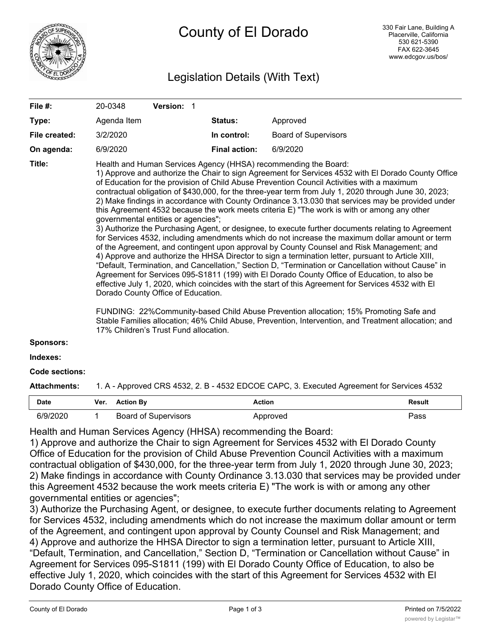

# County of El Dorado

# Legislation Details (With Text)

| File #:               | 20-0348                                                                                   | Version: 1                                                                                                         |                      |                                                                                                                                                                                                                                                                                                                                                                                                                                                                                                                                                                                                                                                                                                                                                                                                                                                                                                                                                                                                                                                                                                                                                                                                                                                                                                                                                                                                                                                                                                             |  |
|-----------------------|-------------------------------------------------------------------------------------------|--------------------------------------------------------------------------------------------------------------------|----------------------|-------------------------------------------------------------------------------------------------------------------------------------------------------------------------------------------------------------------------------------------------------------------------------------------------------------------------------------------------------------------------------------------------------------------------------------------------------------------------------------------------------------------------------------------------------------------------------------------------------------------------------------------------------------------------------------------------------------------------------------------------------------------------------------------------------------------------------------------------------------------------------------------------------------------------------------------------------------------------------------------------------------------------------------------------------------------------------------------------------------------------------------------------------------------------------------------------------------------------------------------------------------------------------------------------------------------------------------------------------------------------------------------------------------------------------------------------------------------------------------------------------------|--|
| Type:                 | Agenda Item                                                                               |                                                                                                                    | Status:              | Approved                                                                                                                                                                                                                                                                                                                                                                                                                                                                                                                                                                                                                                                                                                                                                                                                                                                                                                                                                                                                                                                                                                                                                                                                                                                                                                                                                                                                                                                                                                    |  |
| File created:         | 3/2/2020                                                                                  |                                                                                                                    | In control:          | <b>Board of Supervisors</b>                                                                                                                                                                                                                                                                                                                                                                                                                                                                                                                                                                                                                                                                                                                                                                                                                                                                                                                                                                                                                                                                                                                                                                                                                                                                                                                                                                                                                                                                                 |  |
| On agenda:            | 6/9/2020                                                                                  |                                                                                                                    | <b>Final action:</b> | 6/9/2020                                                                                                                                                                                                                                                                                                                                                                                                                                                                                                                                                                                                                                                                                                                                                                                                                                                                                                                                                                                                                                                                                                                                                                                                                                                                                                                                                                                                                                                                                                    |  |
| Title:                |                                                                                           | governmental entities or agencies";<br>Dorado County Office of Education.<br>17% Children's Trust Fund allocation. |                      | Health and Human Services Agency (HHSA) recommending the Board:<br>1) Approve and authorize the Chair to sign Agreement for Services 4532 with El Dorado County Office<br>of Education for the provision of Child Abuse Prevention Council Activities with a maximum<br>contractual obligation of \$430,000, for the three-year term from July 1, 2020 through June 30, 2023;<br>2) Make findings in accordance with County Ordinance 3.13.030 that services may be provided under<br>this Agreement 4532 because the work meets criteria E) "The work is with or among any other<br>3) Authorize the Purchasing Agent, or designee, to execute further documents relating to Agreement<br>for Services 4532, including amendments which do not increase the maximum dollar amount or term<br>of the Agreement, and contingent upon approval by County Counsel and Risk Management; and<br>4) Approve and authorize the HHSA Director to sign a termination letter, pursuant to Article XIII,<br>"Default, Termination, and Cancellation," Section D, "Termination or Cancellation without Cause" in<br>Agreement for Services 095-S1811 (199) with El Dorado County Office of Education, to also be<br>effective July 1, 2020, which coincides with the start of this Agreement for Services 4532 with El<br>FUNDING: 22%Community-based Child Abuse Prevention allocation; 15% Promoting Safe and<br>Stable Families allocation; 46% Child Abuse, Prevention, Intervention, and Treatment allocation; and |  |
| <b>Sponsors:</b>      |                                                                                           |                                                                                                                    |                      |                                                                                                                                                                                                                                                                                                                                                                                                                                                                                                                                                                                                                                                                                                                                                                                                                                                                                                                                                                                                                                                                                                                                                                                                                                                                                                                                                                                                                                                                                                             |  |
| Indexes:              |                                                                                           |                                                                                                                    |                      |                                                                                                                                                                                                                                                                                                                                                                                                                                                                                                                                                                                                                                                                                                                                                                                                                                                                                                                                                                                                                                                                                                                                                                                                                                                                                                                                                                                                                                                                                                             |  |
| <b>Code sections:</b> |                                                                                           |                                                                                                                    |                      |                                                                                                                                                                                                                                                                                                                                                                                                                                                                                                                                                                                                                                                                                                                                                                                                                                                                                                                                                                                                                                                                                                                                                                                                                                                                                                                                                                                                                                                                                                             |  |
| Attachments:          | 1. A - Approved CRS 4532, 2. B - 4532 EDCOE CAPC, 3. Executed Agreement for Services 4532 |                                                                                                                    |                      |                                                                                                                                                                                                                                                                                                                                                                                                                                                                                                                                                                                                                                                                                                                                                                                                                                                                                                                                                                                                                                                                                                                                                                                                                                                                                                                                                                                                                                                                                                             |  |

| Date     | Ver. | <b>Action By</b>            | Action   | <b>Result</b> |
|----------|------|-----------------------------|----------|---------------|
| 6/9/2020 |      | <b>Board of Supervisors</b> | Approved | Pass          |

Health and Human Services Agency (HHSA) recommending the Board:

1) Approve and authorize the Chair to sign Agreement for Services 4532 with El Dorado County Office of Education for the provision of Child Abuse Prevention Council Activities with a maximum contractual obligation of \$430,000, for the three-year term from July 1, 2020 through June 30, 2023; 2) Make findings in accordance with County Ordinance 3.13.030 that services may be provided under this Agreement 4532 because the work meets criteria E) "The work is with or among any other governmental entities or agencies";

3) Authorize the Purchasing Agent, or designee, to execute further documents relating to Agreement for Services 4532, including amendments which do not increase the maximum dollar amount or term of the Agreement, and contingent upon approval by County Counsel and Risk Management; and 4) Approve and authorize the HHSA Director to sign a termination letter, pursuant to Article XIII, "Default, Termination, and Cancellation," Section D, "Termination or Cancellation without Cause" in Agreement for Services 095-S1811 (199) with El Dorado County Office of Education, to also be effective July 1, 2020, which coincides with the start of this Agreement for Services 4532 with El Dorado County Office of Education.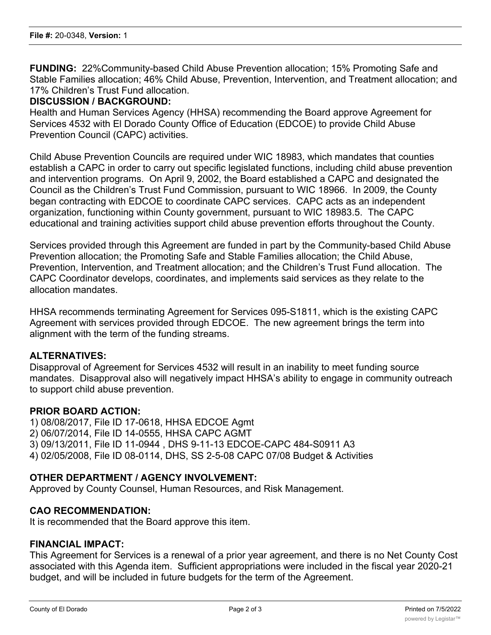**FUNDING:** 22%Community-based Child Abuse Prevention allocation; 15% Promoting Safe and Stable Families allocation; 46% Child Abuse, Prevention, Intervention, and Treatment allocation; and 17% Children's Trust Fund allocation.

#### **DISCUSSION / BACKGROUND:**

Health and Human Services Agency (HHSA) recommending the Board approve Agreement for Services 4532 with El Dorado County Office of Education (EDCOE) to provide Child Abuse Prevention Council (CAPC) activities.

Child Abuse Prevention Councils are required under WIC 18983, which mandates that counties establish a CAPC in order to carry out specific legislated functions, including child abuse prevention and intervention programs. On April 9, 2002, the Board established a CAPC and designated the Council as the Children's Trust Fund Commission, pursuant to WIC 18966. In 2009, the County began contracting with EDCOE to coordinate CAPC services. CAPC acts as an independent organization, functioning within County government, pursuant to WIC 18983.5. The CAPC educational and training activities support child abuse prevention efforts throughout the County.

Services provided through this Agreement are funded in part by the Community-based Child Abuse Prevention allocation; the Promoting Safe and Stable Families allocation; the Child Abuse, Prevention, Intervention, and Treatment allocation; and the Children's Trust Fund allocation. The CAPC Coordinator develops, coordinates, and implements said services as they relate to the allocation mandates.

HHSA recommends terminating Agreement for Services 095-S1811, which is the existing CAPC Agreement with services provided through EDCOE. The new agreement brings the term into alignment with the term of the funding streams.

#### **ALTERNATIVES:**

Disapproval of Agreement for Services 4532 will result in an inability to meet funding source mandates. Disapproval also will negatively impact HHSA's ability to engage in community outreach to support child abuse prevention.

#### **PRIOR BOARD ACTION:**

1) 08/08/2017, File ID 17-0618, HHSA EDCOE Agmt 2) 06/07/2014, File ID 14-0555, HHSA CAPC AGMT 3) 09/13/2011, File ID 11-0944 , DHS 9-11-13 EDCOE-CAPC 484-S0911 A3 4) 02/05/2008, File ID 08-0114, DHS, SS 2-5-08 CAPC 07/08 Budget & Activities

## **OTHER DEPARTMENT / AGENCY INVOLVEMENT:**

Approved by County Counsel, Human Resources, and Risk Management.

#### **CAO RECOMMENDATION:**

It is recommended that the Board approve this item.

# **FINANCIAL IMPACT:**

This Agreement for Services is a renewal of a prior year agreement, and there is no Net County Cost associated with this Agenda item. Sufficient appropriations were included in the fiscal year 2020-21 budget, and will be included in future budgets for the term of the Agreement.